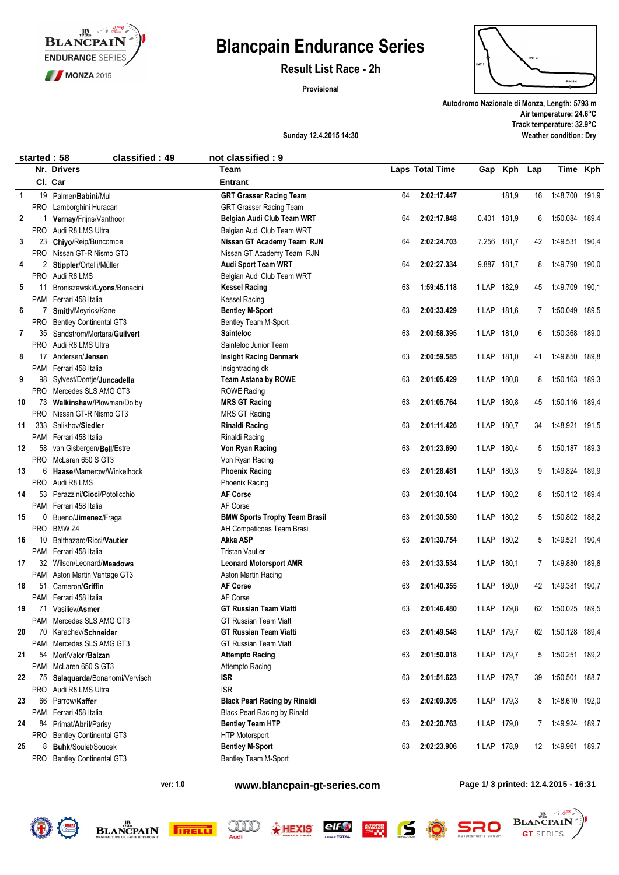

# **Blancpain Endurance Series**

**Result List Race - 2h**

**Provisional**



**Autodromo Nazionale di Monza, Length: 5793 m Air temperature: 24.6°C Track temperature: 32.9°C Weather condition: Dry**

### **Sunday 12.4.2015 14:30**

| started: 58<br>classified: 49<br>not classified: 9 |            |                                |                                      |    |                 |             |            |     |                   |       |
|----------------------------------------------------|------------|--------------------------------|--------------------------------------|----|-----------------|-------------|------------|-----|-------------------|-------|
|                                                    |            | Nr. Drivers                    | Team                                 |    | Laps Total Time | Gap         | <b>Kph</b> | Lap | Time              | Kph   |
|                                                    |            | Cl. Car                        | <b>Entrant</b>                       |    |                 |             |            |     |                   |       |
| $\mathbf{1}$                                       | 19         | Palmer/Babini/Mul              | <b>GRT Grasser Racing Team</b>       | 64 | 2:02:17.447     |             | 181,9      | 16  | 1:48.700 191,9    |       |
|                                                    | PRO        | Lamborghini Huracan            | <b>GRT Grasser Racing Team</b>       |    |                 |             |            |     |                   |       |
| 2                                                  |            | Vernay/Frijns/Vanthoor         | Belgian Audi Club Team WRT           | 64 | 2:02:17.848     | 0.401 181,9 |            | 6   | 1:50.084          | 189,4 |
|                                                    | <b>PRO</b> | Audi R8 LMS Ultra              | Belgian Audi Club Team WRT           |    |                 |             |            |     |                   |       |
| 3                                                  | 23         | Chiyo/Reip/Buncombe            | Nissan GT Academy Team RJN           | 64 | 2:02:24.703     | 7.256 181,7 |            | 42  | 1:49.531 190,4    |       |
|                                                    | <b>PRO</b> | Nissan GT-R Nismo GT3          | Nissan GT Academy Team RJN           |    |                 |             |            |     |                   |       |
| 4                                                  |            | 2 Stippler/Ortelli/Müller      | Audi Sport Team WRT                  | 64 | 2:02:27.334     | 9.887       | 181,7      | 8   | 1:49.790 190,0    |       |
|                                                    | <b>PRO</b> | Audi R8 LMS                    | Belgian Audi Club Team WRT           |    |                 |             |            |     |                   |       |
| 5                                                  | 11         | Broniszewski/Lyons/Bonacini    | <b>Kessel Racing</b>                 | 63 | 1:59:45.118     | 1 LAP       | 182,9      | 45  | 1:49.709 190,1    |       |
|                                                    | PAM        | Ferrari 458 Italia             | Kessel Racing                        |    |                 |             |            |     |                   |       |
| 6                                                  | 7          | Smith/Meyrick/Kane             | <b>Bentley M-Sport</b>               | 63 | 2:00:33.429     | 1 LAP 181,6 |            |     | 7 1:50.049 189.5  |       |
|                                                    | PRO        | <b>Bentley Continental GT3</b> | Bentley Team M-Sport                 |    |                 |             |            |     |                   |       |
| $\mathbf{7}$                                       | 35         | Sandström/Mortara/Guilvert     | <b>Sainteloc</b>                     | 63 | 2:00:58.395     | 1 LAP       | 181,0      | 6   | 1:50.368 189,0    |       |
|                                                    | <b>PRO</b> | Audi R8 LMS Ultra              | Sainteloc Junior Team                |    |                 |             |            |     |                   |       |
| 8                                                  | 17         | Andersen/ <b>Jensen</b>        | <b>Insight Racing Denmark</b>        | 63 | 2:00:59.585     | 1 LAP       | 181,0      | 41  | 1:49.850 189,8    |       |
|                                                    |            | PAM Ferrari 458 Italia         | Insightracing dk                     |    |                 |             |            |     |                   |       |
| 9                                                  | 98         | Sylvest/Dontje/Juncadella      | <b>Team Astana by ROWE</b>           | 63 | 2:01:05.429     | 1 LAP       | 180,8      | 8   | 1:50.163 189.3    |       |
|                                                    |            | PRO Mercedes SLS AMG GT3       | <b>ROWE Racing</b>                   |    |                 |             |            |     |                   |       |
| 10                                                 | 73         | Walkinshaw/Plowman/Dolby       | <b>MRS GT Racing</b>                 | 63 | 2:01:05.764     | 1 LAP       | 180,8      | 45  | 1:50.116 189,4    |       |
|                                                    | <b>PRO</b> | Nissan GT-R Nismo GT3          | <b>MRS GT Racing</b>                 |    |                 |             |            |     |                   |       |
| 11                                                 | 333        | Salikhov/Siedler               | <b>Rinaldi Racing</b>                | 63 | 2:01:11.426     | 1 LAP       | 180,7      | 34  | 1:48.921 191.5    |       |
|                                                    | PAM        | Ferrari 458 Italia             | Rinaldi Racing                       |    |                 |             |            |     |                   |       |
| 12                                                 | 58         | van Gisbergen/Bell/Estre       | Von Ryan Racing                      | 63 | 2:01:23.690     | 1 LAP 180,4 |            | 5   | 1:50.187 189,3    |       |
|                                                    | <b>PRO</b> | McLaren 650 S GT3              | Von Ryan Racing                      |    |                 |             |            |     |                   |       |
| 13                                                 | 6          | Haase/Mamerow/Winkelhock       | <b>Phoenix Racing</b>                | 63 | 2:01:28.481     | 1 LAP       | 180,3      | 9   | 1:49.824 189,9    |       |
|                                                    | <b>PRO</b> | Audi R8 LMS                    | <b>Phoenix Racing</b>                |    |                 |             |            |     |                   |       |
| 14                                                 | 53         | Perazzini/Cioci/Potolicchio    | <b>AF Corse</b>                      | 63 | 2:01:30.104     | 1 LAP       | 180,2      | 8   | 1:50.112 189,4    |       |
|                                                    | PAM        | Ferrari 458 Italia             | AF Corse                             |    |                 |             |            |     |                   |       |
| 15                                                 | 0          | Bueno/Jimenez/Fraga            | <b>BMW Sports Trophy Team Brasil</b> | 63 | 2:01:30.580     | 1 LAP       | 180,2      | 5   | 1:50.802 188,2    |       |
|                                                    | <b>PRO</b> | BMW <sub>Z4</sub>              | AH Competicoes Team Brasil           |    |                 |             |            |     |                   |       |
| 16                                                 | 10         | Balthazard/Ricci/Vautier       | Akka ASP                             | 63 | 2:01:30.754     | 1 LAP       | 180,2      | 5   | 1:49.521 190,4    |       |
|                                                    | PAM        | Ferrari 458 Italia             | <b>Tristan Vautier</b>               |    |                 |             |            |     |                   |       |
| 17                                                 | 32         | Wilson/Leonard/Meadows         | <b>Leonard Motorsport AMR</b>        | 63 | 2:01:33.534     | 1 LAP       | 180,1      | 7   | 1:49.880          | 189,8 |
|                                                    | PAM        | Aston Martin Vantage GT3       | Aston Martin Racing                  |    |                 |             |            |     |                   |       |
| 18                                                 | 51         | Cameron/Griffin                | <b>AF Corse</b>                      | 63 | 2:01:40.355     | 1 LAP       | 180,0      | 42  | 1:49.381 190,7    |       |
|                                                    | PAM        | Ferrari 458 Italia             | AF Corse                             |    |                 |             |            |     |                   |       |
| 19                                                 | 71         | Vasiliev/Asmer                 | <b>GT Russian Team Viatti</b>        | 63 | 2:01:46.480     | 1 LAP 179,8 |            | 62  | 1:50.025 189,5    |       |
|                                                    | PAM        | Mercedes SLS AMG GT3           | <b>GT Russian Team Viatti</b>        |    |                 |             |            |     |                   |       |
| 20                                                 | 70         | Karachev/Schneider             | <b>GT Russian Team Viatti</b>        | 63 | 2:01:49.548     | 1 LAP 179,7 |            | 62  | 1:50.128 189,4    |       |
|                                                    | PAM        | Mercedes SLS AMG GT3           | <b>GT Russian Team Viatti</b>        |    |                 |             |            |     |                   |       |
| 21                                                 | 54         | Mori/Valori/Balzan             | <b>Attempto Racing</b>               | 63 | 2:01:50.018     | 1 LAP 179,7 |            | 5   | 1:50.251 189,2    |       |
|                                                    | PAM        | McLaren 650 S GT3              | Attempto Racing                      |    |                 |             |            |     |                   |       |
| 22                                                 | 75         | Salaquarda/Bonanomi/Vervisch   | <b>ISR</b>                           | 63 | 2:01:51.623     | 1 LAP 179,7 |            | 39  | 1:50.501 188,7    |       |
|                                                    | <b>PRO</b> | Audi R8 LMS Ultra              | <b>ISR</b>                           |    |                 |             |            |     |                   |       |
| 23                                                 | 66         | Parrow/Kaffer                  | <b>Black Pearl Racing by Rinaldi</b> | 63 | 2:02:09.305     | 1 LAP 179,3 |            | 8   | 1:48.610 192,0    |       |
|                                                    | PAM        | Ferrari 458 Italia             | <b>Black Pearl Racing by Rinaldi</b> |    |                 |             |            |     |                   |       |
| 24                                                 | 84         | Primat/Abril/Parisy            | <b>Bentley Team HTP</b>              | 63 | 2:02:20.763     | 1 LAP 179,0 |            |     | 7 1:49.924 189,7  |       |
|                                                    | PRO        | <b>Bentley Continental GT3</b> | HTP Motorsport                       |    |                 |             |            |     |                   |       |
| 25                                                 | 8          | <b>Buhk/Soulet/Soucek</b>      | <b>Bentley M-Sport</b>               | 63 | 2:02:23.906     | 1 LAP 178,9 |            |     | 12 1:49.961 189,7 |       |
|                                                    | PRO        | <b>Bentley Continental GT3</b> | Bentley Team M-Sport                 |    |                 |             |            |     |                   |       |

**ver: 1.0**

**www.blancpain-gt-series.com**

**Page 1/ 3 printed: 12.4.2015 - 16:31**

**JB BLANCPAIN** 

**GT** SERIES

 $\therefore$  12









 $50$ 

**NIUSPORT<br>NSURANCE** 

SRO D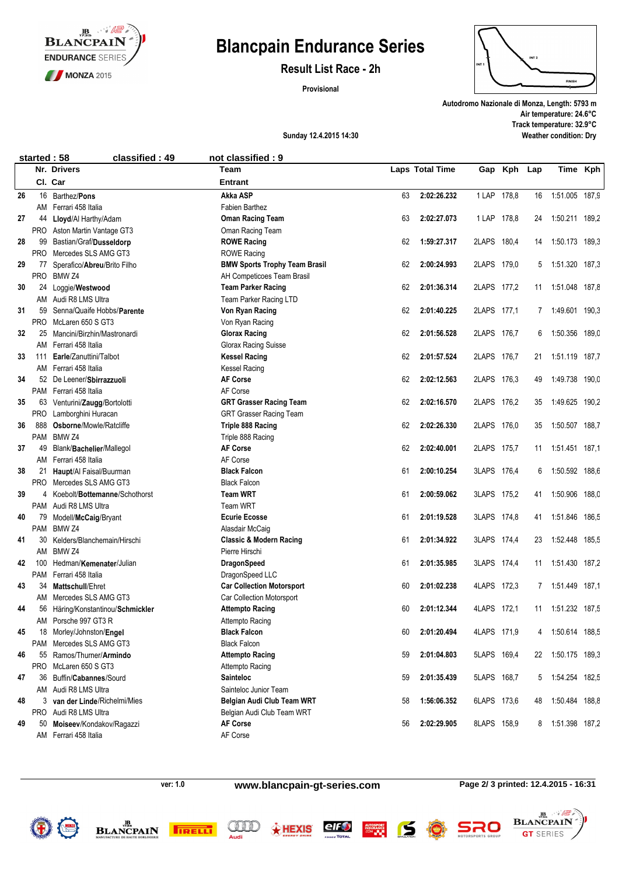

# **Blancpain Endurance Series**

**Result List Race - 2h**

**Provisional**



**Autodromo Nazionale di Monza, Length: 5793 m Air temperature: 24.6°C Track temperature: 32.9°C Weather condition: Dry**

### **Sunday 12.4.2015 14:30**

|    | started: 58 | classified: 49                                            | not classified: 9                                   |    |                 |             |            |     |                   |  |
|----|-------------|-----------------------------------------------------------|-----------------------------------------------------|----|-----------------|-------------|------------|-----|-------------------|--|
|    |             | Nr. Drivers                                               | <b>Team</b>                                         |    | Laps Total Time | Gap         | <b>Kph</b> | Lap | Time Kph          |  |
|    |             | Cl. Car                                                   | <b>Entrant</b>                                      |    |                 |             |            |     |                   |  |
| 26 | 16          | Barthez/ <b>Pons</b>                                      | Akka ASP                                            | 63 | 2:02:26.232     | 1 LAP 178,8 |            | 16  | 1:51.005 187,9    |  |
|    | AM          | Ferrari 458 Italia                                        | Fabien Barthez                                      |    |                 |             |            |     |                   |  |
| 27 | 44          | Lloyd/Al Harthy/Adam                                      | <b>Oman Racing Team</b>                             | 63 | 2:02:27.073     | 1 LAP 178,8 |            | 24  | 1:50.211 189,2    |  |
|    | <b>PRO</b>  | Aston Martin Vantage GT3                                  | Oman Racing Team                                    |    |                 |             |            |     |                   |  |
| 28 | 99          | Bastian/Graf/Dusseldorp                                   | <b>ROWE Racing</b>                                  | 62 | 1:59:27.317     | 2LAPS 180,4 |            | 14  | 1:50.173 189,3    |  |
|    | <b>PRO</b>  | Mercedes SLS AMG GT3                                      | <b>ROWE Racing</b>                                  |    |                 |             |            |     |                   |  |
| 29 | 77          | Sperafico/Abreu/Brito Filho                               | <b>BMW Sports Trophy Team Brasil</b>                | 62 | 2:00:24.993     | 2LAPS 179,0 |            | 5   | 1:51.320 187,3    |  |
|    | <b>PRO</b>  | BMW <sub>Z4</sub>                                         | AH Competicoes Team Brasil                          |    |                 |             |            |     |                   |  |
| 30 | 24          | Loggie/Westwood                                           | <b>Team Parker Racing</b>                           | 62 | 2:01:36.314     | 2LAPS 177,2 |            |     | 11 1:51.048 187,8 |  |
|    | AM          | Audi R8 LMS Ultra                                         | Team Parker Racing LTD                              |    |                 |             |            |     |                   |  |
| 31 | 59          | Senna/Quaife Hobbs/Parente                                | Von Ryan Racing                                     | 62 | 2:01:40.225     | 2LAPS 177,1 |            |     | 7 1:49.601 190,3  |  |
|    | <b>PRO</b>  | McLaren 650 S GT3                                         | Von Ryan Racing                                     |    |                 |             |            |     |                   |  |
| 32 | 25          | Mancini/Birzhin/Mastronardi                               | <b>Glorax Racing</b>                                | 62 | 2:01:56.528     | 2LAPS 176,7 |            | 6   | 1:50.356 189,0    |  |
|    | AM          | Ferrari 458 Italia                                        | Glorax Racing Suisse                                |    |                 |             |            |     |                   |  |
| 33 | 111         | Earle/Zanuttini/Talbot                                    | <b>Kessel Racing</b>                                | 62 | 2:01:57.524     | 2LAPS 176,7 |            | 21  | 1:51.119 187,7    |  |
|    | AM          | Ferrari 458 Italia                                        | <b>Kessel Racing</b>                                |    |                 |             |            |     |                   |  |
| 34 | 52          | De Leener/Sbirrazzuoli                                    | <b>AF Corse</b>                                     | 62 | 2:02:12.563     | 2LAPS 176.3 |            | 49  | 1:49.738 190,0    |  |
|    | PAM         | Ferrari 458 Italia                                        | AF Corse                                            |    |                 |             |            |     |                   |  |
| 35 | 63          | Venturini/Zaugg/Bortolotti                                | <b>GRT Grasser Racing Team</b>                      | 62 | 2:02:16.570     | 2LAPS 176,2 |            | 35  | 1:49.625 190,2    |  |
|    | <b>PRO</b>  | Lamborghini Huracan                                       | <b>GRT Grasser Racing Team</b>                      |    |                 |             |            |     |                   |  |
| 36 | 888         | Osborne/Mowle/Ratcliffe                                   | Triple 888 Racing                                   | 62 | 2:02:26.330     | 2LAPS 176,0 |            | 35  | 1:50.507 188,7    |  |
|    | PAM         | BMW <sub>Z4</sub>                                         | Triple 888 Racing                                   |    |                 |             |            |     |                   |  |
| 37 | 49          | Blank/Bachelier/Mallegol                                  | <b>AF Corse</b>                                     | 62 | 2:02:40.001     | 2LAPS 175,7 |            |     | 11 1:51.451 187,1 |  |
|    | AM          | Ferrari 458 Italia                                        | AF Corse                                            |    |                 |             |            |     |                   |  |
| 38 | 21          | Haupt/Al Faisal/Buurman                                   | <b>Black Falcon</b>                                 | 61 | 2:00:10.254     | 3LAPS 176,4 |            | 6   | 1:50.592 188,6    |  |
|    | PRO         | Mercedes SLS AMG GT3                                      | <b>Black Falcon</b>                                 |    |                 |             |            |     |                   |  |
| 39 | 4           | Koebolt/Bottemanne/Schothorst                             | <b>Team WRT</b>                                     | 61 | 2:00:59.062     | 3LAPS 175,2 |            | 41  | 1:50.906 188,0    |  |
|    |             | PAM Audi R8 LMS Ultra                                     | Team WRT                                            |    |                 |             |            |     |                   |  |
| 40 | 79          | Modell/McCaig/Bryant                                      | <b>Ecurie Ecosse</b>                                | 61 | 2:01:19.528     | 3LAPS 174,8 |            | 41  | 1:51.846 186,5    |  |
|    | PAM         | BMW <sub>Z4</sub>                                         | Alasdair McCaig                                     |    |                 |             |            |     |                   |  |
| 41 | 30          | Kelders/Blanchemain/Hirschi                               | <b>Classic &amp; Modern Racing</b>                  | 61 | 2:01:34.922     | 3LAPS 174,4 |            | 23  | 1:52.448 185,5    |  |
|    | AM          | BMW <sub>Z4</sub>                                         | Pierre Hirschi                                      |    |                 |             |            |     |                   |  |
| 42 | 100         | Hedman/Kemenater/Julian                                   | <b>DragonSpeed</b>                                  | 61 | 2:01:35.985     | 3LAPS 174,4 |            | 11  | 1:51.430 187,2    |  |
| 43 | PAM<br>34   | Ferrari 458 Italia<br>Mattschull/Ehret                    | DragonSpeed LLC<br><b>Car Collection Motorsport</b> | 60 | 2:01:02.238     | 4LAPS 172.3 |            | 7   | 1:51.449 187,1    |  |
|    | AM          | Mercedes SLS AMG GT3                                      |                                                     |    |                 |             |            |     |                   |  |
| 44 |             |                                                           | Car Collection Motorsport<br><b>Attempto Racing</b> | 60 | 2:01:12.344     | 4LAPS 172.1 |            |     | 11 1:51.232 187.5 |  |
|    |             | 56 Häring/Konstantinou/Schmickler<br>AM Porsche 997 GT3 R | Attempto Racing                                     |    |                 |             |            |     |                   |  |
| 45 | 18          | Morley/Johnston/Engel                                     | <b>Black Falcon</b>                                 | 60 | 2:01:20.494     | 4LAPS 171,9 |            | 4   | 1:50.614 188,5    |  |
|    | PAM         | Mercedes SLS AMG GT3                                      | <b>Black Falcon</b>                                 |    |                 |             |            |     |                   |  |
| 46 | 55          | Ramos/Thurner/Armindo                                     | <b>Attempto Racing</b>                              | 59 | 2:01:04.803     | 5LAPS 169,4 |            |     | 22 1:50.175 189,3 |  |
|    | <b>PRO</b>  | McLaren 650 S GT3                                         | <b>Attempto Racing</b>                              |    |                 |             |            |     |                   |  |
| 47 | 36          | Buffin/Cabannes/Sourd                                     | <b>Sainteloc</b>                                    | 59 | 2:01:35.439     | 5LAPS 168,7 |            | 5   | 1:54.254 182,5    |  |
|    | AM          | Audi R8 LMS Ultra                                         | Sainteloc Junior Team                               |    |                 |             |            |     |                   |  |
| 48 | 3           | van der Linde/Richelmi/Mies                               | Belgian Audi Club Team WRT                          | 58 | 1:56:06.352     | 6LAPS 173,6 |            | 48  | 1:50.484 188,8    |  |
|    |             | PRO Audi R8 LMS Ultra                                     | Belgian Audi Club Team WRT                          |    |                 |             |            |     |                   |  |
| 49 | 50          | Moiseev/Kondakov/Ragazzi                                  | <b>AF Corse</b>                                     | 56 | 2:02:29.905     | 8LAPS 158,9 |            | 8   | 1:51.398 187,2    |  |
|    | AM          | Ferrari 458 Italia                                        | AF Corse                                            |    |                 |             |            |     |                   |  |

**www.blancpain-gt-series.com**

**Page 2/ 3 printed: 12.4.2015 - 16:31**

 $\therefore$  12 **JB BLANCPAIN** 

**GT** SERIES





**ver: 1.0**





 $50$ 

**NIUSPORT<br>NSURANCE<br>XOM <b>LIM** NI

SRO D